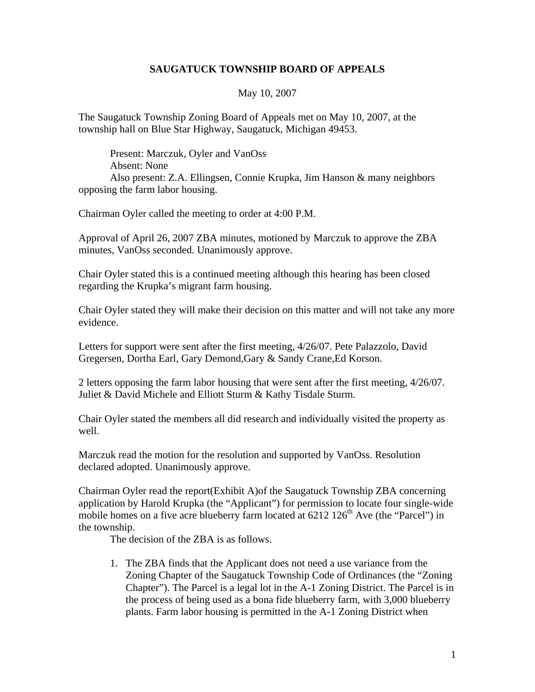## **SAUGATUCK TOWNSHIP BOARD OF APPEALS**

## May 10, 2007

The Saugatuck Township Zoning Board of Appeals met on May 10, 2007, at the township hall on Blue Star Highway, Saugatuck, Michigan 49453.

Present: Marczuk, Oyler and VanOss Absent: None Also present: Z.A. Ellingsen, Connie Krupka, Jim Hanson & many neighbors opposing the farm labor housing.

Chairman Oyler called the meeting to order at 4:00 P.M.

Approval of April 26, 2007 ZBA minutes, motioned by Marczuk to approve the ZBA minutes, VanOss seconded. Unanimously approve.

Chair Oyler stated this is a continued meeting although this hearing has been closed regarding the Krupka's migrant farm housing.

Chair Oyler stated they will make their decision on this matter and will not take any more evidence.

Letters for support were sent after the first meeting, 4/26/07. Pete Palazzolo, David Gregersen, Dortha Earl, Gary Demond,Gary & Sandy Crane,Ed Korson.

2 letters opposing the farm labor housing that were sent after the first meeting, 4/26/07. Juliet & David Michele and Elliott Sturm & Kathy Tisdale Sturm.

Chair Oyler stated the members all did research and individually visited the property as well.

Marczuk read the motion for the resolution and supported by VanOss. Resolution declared adopted. Unanimously approve.

Chairman Oyler read the report(Exhibit A)of the Saugatuck Township ZBA concerning application by Harold Krupka (the "Applicant") for permission to locate four single-wide mobile homes on a five acre blueberry farm located at  $6212 126<sup>th</sup>$  Ave (the "Parcel") in the township.

The decision of the ZBA is as follows.

1. The ZBA finds that the Applicant does not need a use variance from the Zoning Chapter of the Saugatuck Township Code of Ordinances (the "Zoning Chapter"). The Parcel is a legal lot in the A-1 Zoning District. The Parcel is in the process of being used as a bona fide blueberry farm, with 3,000 blueberry plants. Farm labor housing is permitted in the A-1 Zoning District when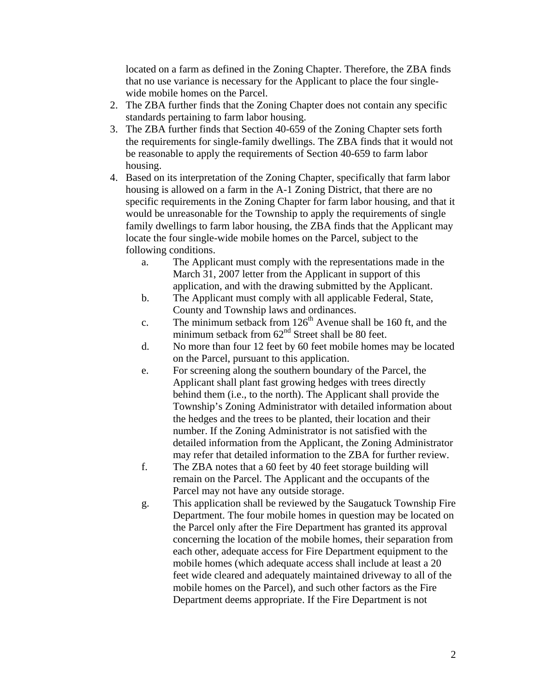located on a farm as defined in the Zoning Chapter. Therefore, the ZBA finds that no use variance is necessary for the Applicant to place the four singlewide mobile homes on the Parcel.

- 2. The ZBA further finds that the Zoning Chapter does not contain any specific standards pertaining to farm labor housing.
- 3. The ZBA further finds that Section 40-659 of the Zoning Chapter sets forth the requirements for single-family dwellings. The ZBA finds that it would not be reasonable to apply the requirements of Section 40-659 to farm labor housing.
- 4. Based on its interpretation of the Zoning Chapter, specifically that farm labor housing is allowed on a farm in the A-1 Zoning District, that there are no specific requirements in the Zoning Chapter for farm labor housing, and that it would be unreasonable for the Township to apply the requirements of single family dwellings to farm labor housing, the ZBA finds that the Applicant may locate the four single-wide mobile homes on the Parcel, subject to the following conditions.
	- a. The Applicant must comply with the representations made in the March 31, 2007 letter from the Applicant in support of this application, and with the drawing submitted by the Applicant.
	- b. The Applicant must comply with all applicable Federal, State, County and Township laws and ordinances.
	- c. The minimum setback from  $126<sup>th</sup>$  Avenue shall be 160 ft, and the minimum setback from  $62<sup>nd</sup>$  Street shall be 80 feet.
	- d. No more than four 12 feet by 60 feet mobile homes may be located on the Parcel, pursuant to this application.
	- e. For screening along the southern boundary of the Parcel, the Applicant shall plant fast growing hedges with trees directly behind them (i.e., to the north). The Applicant shall provide the Township's Zoning Administrator with detailed information about the hedges and the trees to be planted, their location and their number. If the Zoning Administrator is not satisfied with the detailed information from the Applicant, the Zoning Administrator may refer that detailed information to the ZBA for further review.
	- f. The ZBA notes that a 60 feet by 40 feet storage building will remain on the Parcel. The Applicant and the occupants of the Parcel may not have any outside storage.
	- g. This application shall be reviewed by the Saugatuck Township Fire Department. The four mobile homes in question may be located on the Parcel only after the Fire Department has granted its approval concerning the location of the mobile homes, their separation from each other, adequate access for Fire Department equipment to the mobile homes (which adequate access shall include at least a 20 feet wide cleared and adequately maintained driveway to all of the mobile homes on the Parcel), and such other factors as the Fire Department deems appropriate. If the Fire Department is not